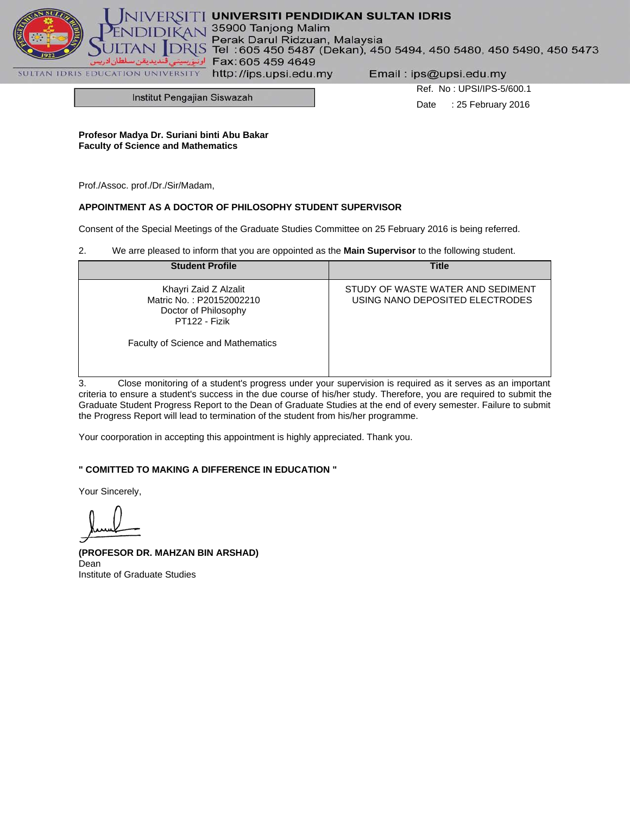

# $\Gamma$  UNIVERSITI PENDIDIKAN SULTAN IDRIS

35900 Tanjong Malim

Perak Darul Ridzuan, Malaysia<br>Tel: 605 450 5487 (Dekan), 450 5494, 450 5480, 450 5490, 450 5473  $\leq$ Fax: 605 459 4649

http://ips.upsi.edu.my

Email: ips@upsi.edu.my

Institut Pengajian Siswazah

Ref. No : UPSI/IPS-5/600.1 Date : 25 February 2016

**Profesor Madya Dr. Suriani binti Abu Bakar Faculty of Science and Mathematics**

Prof./Assoc. prof./Dr./Sir/Madam,

## **APPOINTMENT AS A DOCTOR OF PHILOSOPHY STUDENT SUPERVISOR**

Consent of the Special Meetings of the Graduate Studies Committee on 25 February 2016 is being referred.

2. We arre pleased to inform that you are oppointed as the **Main Supervisor** to the following student.

| <b>Student Profile</b>                                                                     | <b>Title</b>                                                         |
|--------------------------------------------------------------------------------------------|----------------------------------------------------------------------|
| Khayri Zaid Z Alzalit<br>Matric No.: P20152002210<br>Doctor of Philosophy<br>PT122 - Fizik | STUDY OF WASTE WATER AND SEDIMENT<br>USING NANO DEPOSITED ELECTRODES |
| Faculty of Science and Mathematics                                                         |                                                                      |

3. Close monitoring of a student's progress under your supervision is required as it serves as an important criteria to ensure a student's success in the due course of his/her study. Therefore, you are required to submit the Graduate Student Progress Report to the Dean of Graduate Studies at the end of every semester. Failure to submit the Progress Report will lead to termination of the student from his/her programme.

Your coorporation in accepting this appointment is highly appreciated. Thank you.

## **" COMITTED TO MAKING A DIFFERENCE IN EDUCATION "**

Your Sincerely,

**(PROFESOR DR. MAHZAN BIN ARSHAD)** Dean Institute of Graduate Studies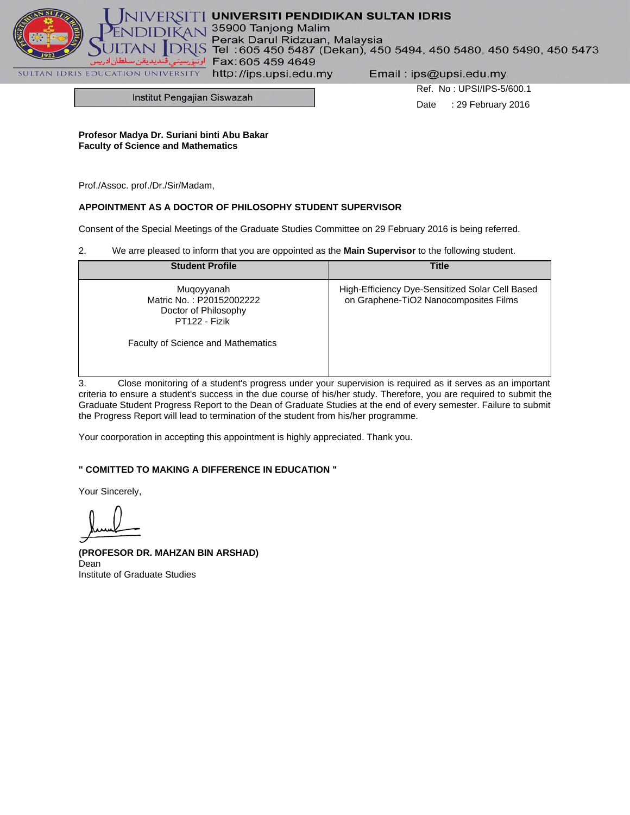

# $\Gamma$  UNIVERSITI PENDIDIKAN SULTAN IDRIS

35900 Tanjong Malim

Perak Darul Ridzuan, Malaysia<br>Tel: 605 450 5487 (Dekan), 450 5494, 450 5480, 450 5490, 450 5473  $\leq$ Fax: 605 459 4649

http://ips.upsi.edu.my

Email: ips@upsi.edu.my

Institut Pengajian Siswazah

Ref. No : UPSI/IPS-5/600.1 Date : 29 February 2016

**Profesor Madya Dr. Suriani binti Abu Bakar Faculty of Science and Mathematics**

Prof./Assoc. prof./Dr./Sir/Madam,

#### **APPOINTMENT AS A DOCTOR OF PHILOSOPHY STUDENT SUPERVISOR**

Consent of the Special Meetings of the Graduate Studies Committee on 29 February 2016 is being referred.

2. We arre pleased to inform that you are oppointed as the **Main Supervisor** to the following student.

| <b>Student Profile</b>                                                          | <b>Title</b>                                                                             |
|---------------------------------------------------------------------------------|------------------------------------------------------------------------------------------|
| Muqoyyanah<br>Matric No.: P20152002222<br>Doctor of Philosophy<br>PT122 - Fizik | High-Efficiency Dye-Sensitized Solar Cell Based<br>on Graphene-TiO2 Nanocomposites Films |
| <b>Faculty of Science and Mathematics</b>                                       |                                                                                          |

3. Close monitoring of a student's progress under your supervision is required as it serves as an important criteria to ensure a student's success in the due course of his/her study. Therefore, you are required to submit the Graduate Student Progress Report to the Dean of Graduate Studies at the end of every semester. Failure to submit the Progress Report will lead to termination of the student from his/her programme.

Your coorporation in accepting this appointment is highly appreciated. Thank you.

## **" COMITTED TO MAKING A DIFFERENCE IN EDUCATION "**

Your Sincerely,

**(PROFESOR DR. MAHZAN BIN ARSHAD)** Dean Institute of Graduate Studies